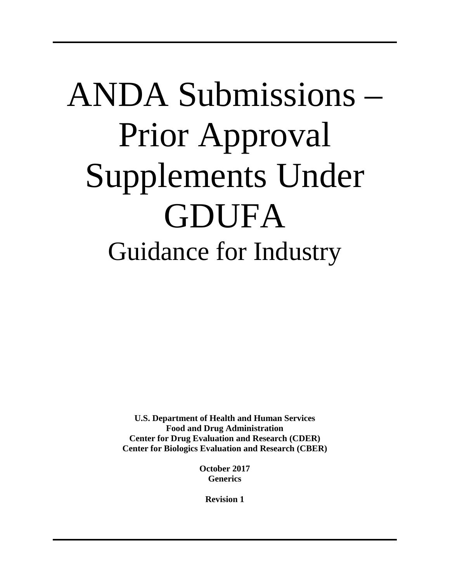# ANDA Submissions – Prior Approval Supplements Under GDUFA Guidance for Industry

**U.S. Department of Health and Human Services Food and Drug Administration Center for Drug Evaluation and Research (CDER) Center for Biologics Evaluation and Research (CBER)**

> **October 2017 Generics**

> > **Revision 1**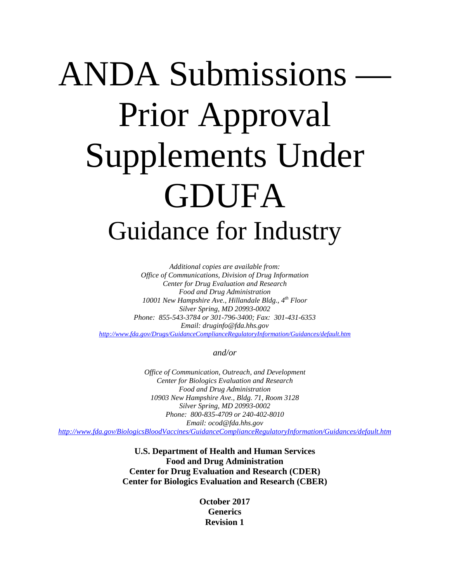# ANDA Submissions Prior Approval Supplements Under GDUFA Guidance for Industry

*Additional copies are available from: Office of Communications, Division of Drug Information Center for Drug Evaluation and Research Food and Drug Administration 10001 New Hampshire Ave., Hillandale Bldg., 4th Floor Silver Spring, MD 20993-0002 Phone: 855-543-3784 or 301-796-3400; Fax: 301-431-6353 Email: druginfo@fda.hhs.gov <http://www.fda.gov/Drugs/GuidanceComplianceRegulatoryInformation/Guidances/default.htm>*

*and/or*

*Office of Communication, Outreach, and Development Center for Biologics Evaluation and Research Food and Drug Administration 10903 New Hampshire Ave., Bldg. 71, Room 3128 Silver Spring, MD 20993-0002 Phone: 800-835-4709 or 240-402-8010 Email: ocod@fda.hhs.gov*

*<http://www.fda.gov/BiologicsBloodVaccines/GuidanceComplianceRegulatoryInformation/Guidances/default.htm>*

**U.S. Department of Health and Human Services Food and Drug Administration Center for Drug Evaluation and Research (CDER) Center for Biologics Evaluation and Research (CBER)**

> **October 2017 Generics Revision 1**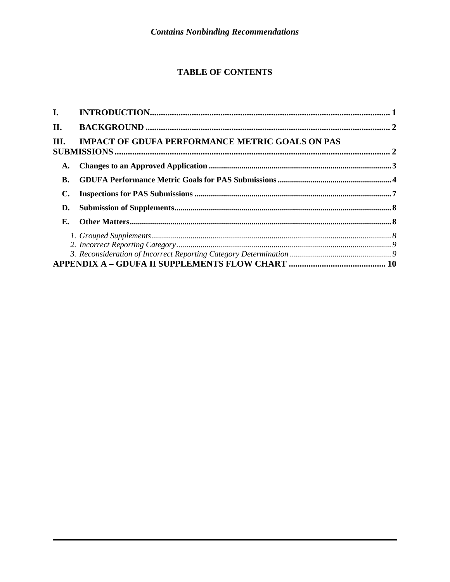# **TABLE OF CONTENTS**

| II.       |                                                        |  |
|-----------|--------------------------------------------------------|--|
| III.      | <b>IMPACT OF GDUFA PERFORMANCE METRIC GOALS ON PAS</b> |  |
| A.        |                                                        |  |
| <b>B.</b> |                                                        |  |
|           |                                                        |  |
| D.        |                                                        |  |
| Е.        |                                                        |  |
|           |                                                        |  |
|           |                                                        |  |
|           |                                                        |  |
|           |                                                        |  |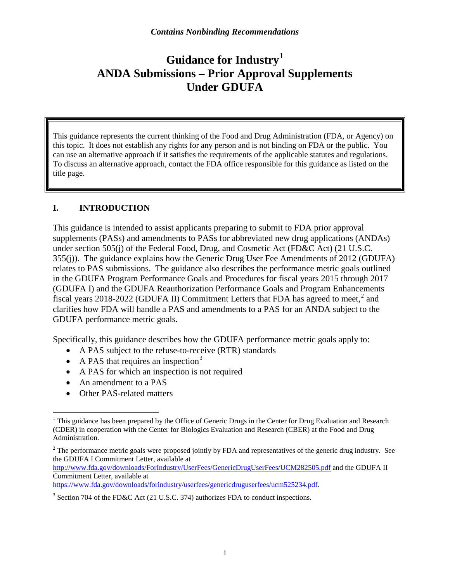# **Guidance for Industry[1](#page-3-0) ANDA Submissions – Prior Approval Supplements Under GDUFA**

This guidance represents the current thinking of the Food and Drug Administration (FDA, or Agency) on this topic. It does not establish any rights for any person and is not binding on FDA or the public. You can use an alternative approach if it satisfies the requirements of the applicable statutes and regulations. To discuss an alternative approach, contact the FDA office responsible for this guidance as listed on the title page.

# **I. INTRODUCTION**

This guidance is intended to assist applicants preparing to submit to FDA prior approval supplements (PASs) and amendments to PASs for abbreviated new drug applications (ANDAs) under section 505(j) of the Federal Food, Drug, and Cosmetic Act (FD&C Act) (21 U.S.C. 355(j)). The guidance explains how the Generic Drug User Fee Amendments of 2012 (GDUFA) relates to PAS submissions. The guidance also describes the performance metric goals outlined in the GDUFA Program Performance Goals and Procedures for fiscal years 2015 through 2017 (GDUFA I) and the GDUFA Reauthorization Performance Goals and Program Enhancements fiscal years [2](#page-3-1)018-2022 (GDUFA II) Commitment Letters that FDA has agreed to meet,<sup>2</sup> and clarifies how FDA will handle a PAS and amendments to a PAS for an ANDA subject to the GDUFA performance metric goals.

Specifically, this guidance describes how the GDUFA performance metric goals apply to:

- A PAS subject to the refuse-to-receive (RTR) standards
- A PAS that requires an inspection<sup>[3](#page-3-2)</sup>
- A PAS for which an inspection is not required
- An amendment to a PAS
- Other PAS-related matters

<http://www.fda.gov/downloads/ForIndustry/UserFees/GenericDrugUserFees/UCM282505.pdf> and the GDUFA II Commitment Letter, available at

[https://www.fda.gov/downloads/forindustry/userfees/genericdruguserfees/ucm525234.pdf.](https://www.fda.gov/downloads/forindustry/userfees/genericdruguserfees/ucm525234.pdf)

<span id="page-3-0"></span><sup>&</sup>lt;sup>1</sup> This guidance has been prepared by the Office of Generic Drugs in the Center for Drug Evaluation and Research (CDER) in cooperation with the Center for Biologics Evaluation and Research (CBER) at the Food and Drug Administration.

<span id="page-3-1"></span> $2$  The performance metric goals were proposed jointly by FDA and representatives of the generic drug industry. See the GDUFA I Commitment Letter, available at

<span id="page-3-2"></span><sup>&</sup>lt;sup>3</sup> Section 704 of the FD&C Act (21 U.S.C. 374) authorizes FDA to conduct inspections.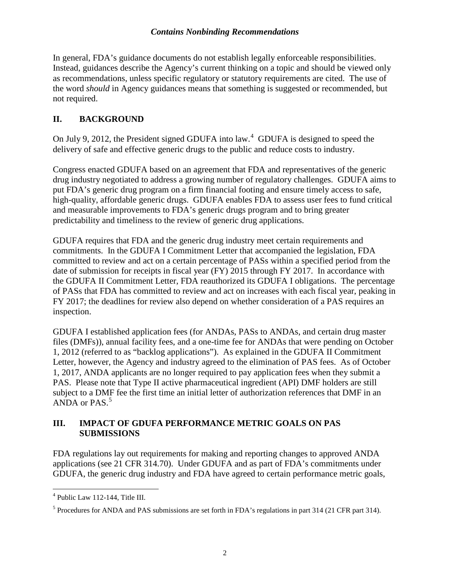In general, FDA's guidance documents do not establish legally enforceable responsibilities. Instead, guidances describe the Agency's current thinking on a topic and should be viewed only as recommendations, unless specific regulatory or statutory requirements are cited. The use of the word *should* in Agency guidances means that something is suggested or recommended, but not required.

# **II. BACKGROUND**

On July 9, 2012, the President signed GDUFA into law. $4$  GDUFA is designed to speed the delivery of safe and effective generic drugs to the public and reduce costs to industry.

Congress enacted GDUFA based on an agreement that FDA and representatives of the generic drug industry negotiated to address a growing number of regulatory challenges. GDUFA aims to put FDA's generic drug program on a firm financial footing and ensure timely access to safe, high-quality, affordable generic drugs. GDUFA enables FDA to assess user fees to fund critical and measurable improvements to FDA's generic drugs program and to bring greater predictability and timeliness to the review of generic drug applications.

GDUFA requires that FDA and the generic drug industry meet certain requirements and commitments. In the GDUFA I Commitment Letter that accompanied the legislation, FDA committed to review and act on a certain percentage of PASs within a specified period from the date of submission for receipts in fiscal year (FY) 2015 through FY 2017. In accordance with the GDUFA II Commitment Letter, FDA reauthorized its GDUFA I obligations. The percentage of PASs that FDA has committed to review and act on increases with each fiscal year, peaking in FY 2017; the deadlines for review also depend on whether consideration of a PAS requires an inspection.

GDUFA I established application fees (for ANDAs, PASs to ANDAs, and certain drug master files (DMFs)), annual facility fees, and a one-time fee for ANDAs that were pending on October 1, 2012 (referred to as "backlog applications"). As explained in the GDUFA II Commitment Letter, however, the Agency and industry agreed to the elimination of PAS fees. As of October 1, 2017, ANDA applicants are no longer required to pay application fees when they submit a PAS. Please note that Type II active pharmaceutical ingredient (API) DMF holders are still subject to a DMF fee the first time an initial letter of authorization references that DMF in an ANDA or  $PAS.<sup>5</sup>$  $PAS.<sup>5</sup>$  $PAS.<sup>5</sup>$ 

#### **III. IMPACT OF GDUFA PERFORMANCE METRIC GOALS ON PAS SUBMISSIONS**

FDA regulations lay out requirements for making and reporting changes to approved ANDA applications (see 21 CFR 314.70). Under GDUFA and as part of FDA's commitments under GDUFA, the generic drug industry and FDA have agreed to certain performance metric goals,

<span id="page-4-0"></span> <sup>4</sup> Public Law 112-144, Title III.

<span id="page-4-1"></span><sup>5</sup> Procedures for ANDA and PAS submissions are set forth in FDA's regulations in part 314 (21 CFR part 314).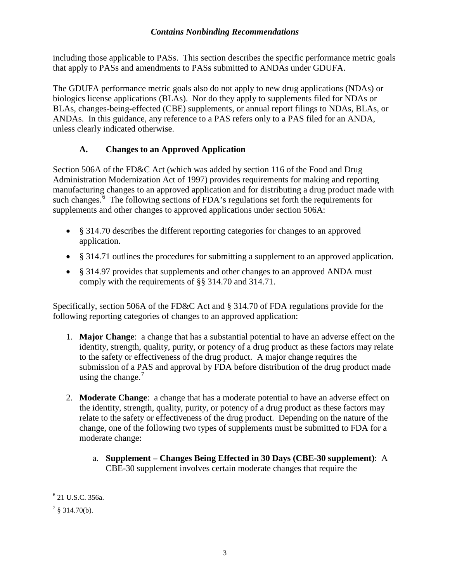including those applicable to PASs. This section describes the specific performance metric goals that apply to PASs and amendments to PASs submitted to ANDAs under GDUFA.

The GDUFA performance metric goals also do not apply to new drug applications (NDAs) or biologics license applications (BLAs). Nor do they apply to supplements filed for NDAs or BLAs, changes-being-effected (CBE) supplements, or annual report filings to NDAs, BLAs, or ANDAs. In this guidance, any reference to a PAS refers only to a PAS filed for an ANDA, unless clearly indicated otherwise.

# **A. Changes to an Approved Application**

Section 506A of the FD&C Act (which was added by section 116 of the Food and Drug Administration Modernization Act of 1997) provides requirements for making and reporting manufacturing changes to an approved application and for distributing a drug product made with such changes.<sup>[6](#page-5-0)</sup> The following sections of FDA's regulations set forth the requirements for supplements and other changes to approved applications under section 506A:

- § 314.70 describes the different reporting categories for changes to an approved application.
- § 314.71 outlines the procedures for submitting a supplement to an approved application.
- § 314.97 provides that supplements and other changes to an approved ANDA must comply with the requirements of §§ 314.70 and 314.71.

Specifically, section 506A of the FD&C Act and § 314.70 of FDA regulations provide for the following reporting categories of changes to an approved application:

- 1. **Major Change**: a change that has a substantial potential to have an adverse effect on the identity, strength, quality, purity, or potency of a drug product as these factors may relate to the safety or effectiveness of the drug product. A major change requires the submission of a PAS and approval by FDA before distribution of the drug product made using the change. $<sup>7</sup>$  $<sup>7</sup>$  $<sup>7</sup>$ </sup>
- 2. **Moderate Change**: a change that has a moderate potential to have an adverse effect on the identity, strength, quality, purity, or potency of a drug product as these factors may relate to the safety or effectiveness of the drug product. Depending on the nature of the change, one of the following two types of supplements must be submitted to FDA for a moderate change:
	- a. **Supplement – Changes Being Effected in 30 Days (CBE-30 supplement)**: A CBE-30 supplement involves certain moderate changes that require the

<span id="page-5-0"></span> <sup>6</sup> 21 U.S.C. 356a.

<span id="page-5-1"></span> $7 \text{ }$ \$ 314.70(b).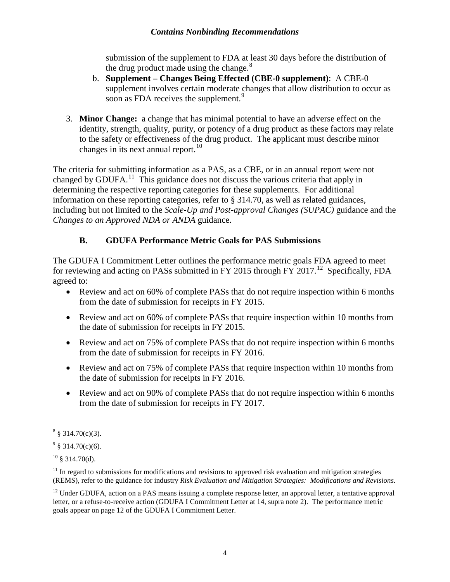submission of the supplement to FDA at least 30 days before the distribution of the drug product made using the change. $8$ 

- b. **Supplement – Changes Being Effected (CBE-0 supplement)**: A CBE-0 supplement involves certain moderate changes that allow distribution to occur as soon as FDA receives the supplement.<sup>[9](#page-6-1)</sup>
- 3. **Minor Change:** a change that has minimal potential to have an adverse effect on the identity, strength, quality, purity, or potency of a drug product as these factors may relate to the safety or effectiveness of the drug product. The applicant must describe minor changes in its next annual report.<sup>[10](#page-6-2)</sup>

The criteria for submitting information as a PAS, as a CBE, or in an annual report were not changed by GDUFA.<sup>[11](#page-6-3)</sup> This guidance does not discuss the various criteria that apply in determining the respective reporting categories for these supplements. For additional information on these reporting categories, refer to § 314.70, as well as related guidances, including but not limited to the *Scale-Up and Post-approval Changes (SUPAC)* guidance and the *Changes to an Approved NDA or ANDA* guidance.

# **B. GDUFA Performance Metric Goals for PAS Submissions**

The GDUFA I Commitment Letter outlines the performance metric goals FDA agreed to meet for reviewing and acting on PASs submitted in FY 2015 through FY 2017.<sup>12</sup> Specifically, FDA agreed to:

- Review and act on 60% of complete PASs that do not require inspection within 6 months from the date of submission for receipts in FY 2015.
- Review and act on 60% of complete PASs that require inspection within 10 months from the date of submission for receipts in FY 2015.
- Review and act on 75% of complete PASs that do not require inspection within 6 months from the date of submission for receipts in FY 2016.
- Review and act on 75% of complete PASs that require inspection within 10 months from the date of submission for receipts in FY 2016.
- Review and act on 90% of complete PASs that do not require inspection within 6 months from the date of submission for receipts in FY 2017.

<span id="page-6-0"></span> $8 \text{ } 314.70(c)(3)$ .

<span id="page-6-1"></span> $9 \text{ } $314.70(c)(6)$ .

<span id="page-6-2"></span> $10 \text{ }$ § 314.70(d).

<span id="page-6-3"></span> $11$  In regard to submissions for modifications and revisions to approved risk evaluation and mitigation strategies (REMS), refer to the guidance for industry *Risk Evaluation and Mitigation Strategies: Modifications and Revisions*.

<span id="page-6-4"></span><sup>&</sup>lt;sup>12</sup> Under GDUFA, action on a PAS means issuing a complete response letter, an approval letter, a tentative approval letter, or a refuse-to-receive action (GDUFA I Commitment Letter at 14, supra note 2). The performance metric goals appear on page 12 of the GDUFA I Commitment Letter.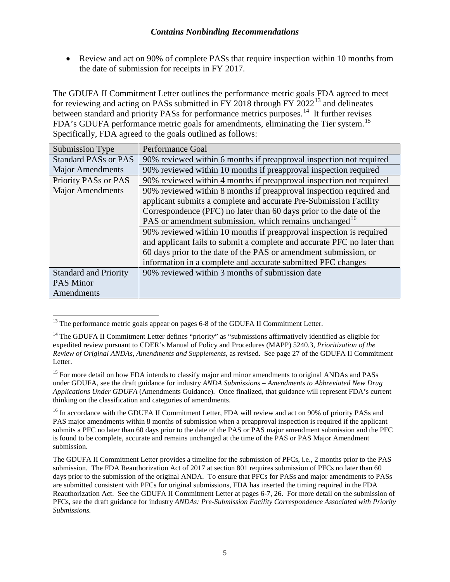• Review and act on 90% of complete PASs that require inspection within 10 months from the date of submission for receipts in FY 2017.

The GDUFA II Commitment Letter outlines the performance metric goals FDA agreed to meet for reviewing and acting on PASs submitted in FY 2018 through FY 2022[13](#page-7-0) and delineates between standard and priority PASs for performance metrics purposes.<sup>14</sup> It further revises FDA's GDUFA performance metric goals for amendments, eliminating the Tier system.<sup>15</sup> Specifically, FDA agreed to the goals outlined as follows:

| Submission Type              | <b>Performance Goal</b>                                                 |
|------------------------------|-------------------------------------------------------------------------|
| <b>Standard PASs or PAS</b>  | 90% reviewed within 6 months if preapproval inspection not required     |
| <b>Major Amendments</b>      | 90% reviewed within 10 months if preapproval inspection required        |
| Priority PASs or PAS         | 90% reviewed within 4 months if preapproval inspection not required     |
| <b>Major Amendments</b>      | 90% reviewed within 8 months if preapproval inspection required and     |
|                              | applicant submits a complete and accurate Pre-Submission Facility       |
|                              | Correspondence (PFC) no later than 60 days prior to the date of the     |
|                              | PAS or amendment submission, which remains unchanged <sup>16</sup>      |
|                              | 90% reviewed within 10 months if preapproval inspection is required     |
|                              | and applicant fails to submit a complete and accurate PFC no later than |
|                              | 60 days prior to the date of the PAS or amendment submission, or        |
|                              | information in a complete and accurate submitted PFC changes            |
| <b>Standard and Priority</b> | 90% reviewed within 3 months of submission date                         |
| <b>PAS Minor</b>             |                                                                         |
| Amendments                   |                                                                         |

<span id="page-7-0"></span> $<sup>13</sup>$  The performance metric goals appear on pages 6-8 of the GDUFA II Commitment Letter.</sup>

<span id="page-7-1"></span><sup>&</sup>lt;sup>14</sup> The GDUFA II Commitment Letter defines "priority" as "submissions affirmatively identified as eligible for expedited review pursuant to CDER's Manual of Policy and Procedures (MAPP) 5240.3, *Prioritization of the Review of Original ANDAs, Amendments and Supplements,* as revised. See page 27 of the GDUFA II Commitment Letter.

<span id="page-7-2"></span><sup>&</sup>lt;sup>15</sup> For more detail on how FDA intends to classify major and minor amendments to original ANDAs and PASs under GDUFA, see the draft guidance for industry *ANDA Submissions – Amendments to Abbreviated New Drug Applications Under GDUFA* (Amendments Guidance)*.* Once finalized, that guidance will represent FDA's current thinking on the classification and categories of amendments.

<span id="page-7-3"></span><sup>&</sup>lt;sup>16</sup> In accordance with the GDUFA II Commitment Letter, FDA will review and act on 90% of priority PASs and PAS major amendments within 8 months of submission when a preapproval inspection is required if the applicant submits a PFC no later than 60 days prior to the date of the PAS or PAS major amendment submission and the PFC is found to be complete, accurate and remains unchanged at the time of the PAS or PAS Major Amendment submission.

The GDUFA II Commitment Letter provides a timeline for the submission of PFCs, i.e., 2 months prior to the PAS submission. The FDA Reauthorization Act of 2017 at section 801 requires submission of PFCs no later than 60 days prior to the submission of the original ANDA. To ensure that PFCs for PASs and major amendments to PASs are submitted consistent with PFCs for original submissions, FDA has inserted the timing required in the FDA Reauthorization Act. See the GDUFA II Commitment Letter at pages 6-7, 26. For more detail on the submission of PFCs, see the draft guidance for industry *ANDAs: Pre-Submission Facility Correspondence Associated with Priority Submissions.*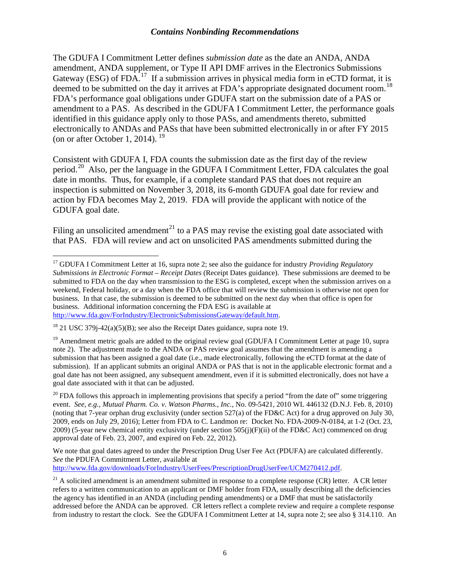The GDUFA I Commitment Letter defines *submission date* as the date an ANDA, ANDA amendment, ANDA supplement, or Type II API DMF arrives in the Electronics Submissions Gateway (ESG) of  $FDA$ <sup>[17](#page-8-0)</sup>. If a submission arrives in physical media form in eCTD format, it is deemed to be submitted on the day it arrives at FDA's appropriate designated document room.<sup>[18](#page-8-1)</sup> FDA's performance goal obligations under GDUFA start on the submission date of a PAS or amendment to a PAS. As described in the GDUFA I Commitment Letter, the performance goals identified in this guidance apply only to those PASs, and amendments thereto, submitted electronically to ANDAs and PASs that have been submitted electronically in or after FY 2015 (on or after October 1, 2014).  $^{19}$  $^{19}$  $^{19}$ 

Consistent with GDUFA I, FDA counts the submission date as the first day of the review period.<sup>[20](#page-8-3)</sup> Also, per the language in the GDUFA I Commitment Letter, FDA calculates the goal date in months. Thus, for example, if a complete standard PAS that does not require an inspection is submitted on November 3, 2018, its 6-month GDUFA goal date for review and action by FDA becomes May 2, 2019. FDA will provide the applicant with notice of the GDUFA goal date.

Filing an unsolicited amendment<sup>[21](#page-8-4)</sup> to a PAS may revise the existing goal date associated with that PAS. FDA will review and act on unsolicited PAS amendments submitted during the

<span id="page-8-3"></span> $20$  FDA follows this approach in implementing provisions that specify a period "from the date of" some triggering event. *See, e.g.*, *Mutual Pharm. Co. v. Watson Pharms., Inc.*, No. 09-5421, 2010 WL 446132 (D.N.J. Feb. 8, 2010) (noting that 7-year orphan drug exclusivity (under section 527(a) of the FD&C Act) for a drug approved on July 30, 2009, ends on July 29, 2016); Letter from FDA to C. Landmon re: Docket No. FDA-2009-N-0184, at 1-2 (Oct. 23, 2009) (5-year new chemical entity exclusivity (under section 505(j)(F)(ii) of the FD&C Act) commenced on drug approval date of Feb. 23, 2007, and expired on Feb. 22, 2012).

We note that goal dates agreed to under the Prescription Drug User Fee Act (PDUFA) are calculated differently. *See* the PDUFA Commitment Letter, available at [http://www.fda.gov/downloads/ForIndustry/UserFees/PrescriptionDrugUserFee/UCM270412.pdf.](http://www.fda.gov/downloads/ForIndustry/UserFees/PrescriptionDrugUserFee/UCM270412.pdf)

<span id="page-8-0"></span><sup>&</sup>lt;sup>17</sup> GDUFA I Commitment Letter at 16, supra note 2; see also the guidance for industry *Providing Regulatory Submissions in Electronic Format – Receipt Dates* (Receipt Dates guidance). These submissions are deemed to be submitted to FDA on the day when transmission to the ESG is completed, except when the submission arrives on a weekend, Federal holiday, or a day when the FDA office that will review the submission is otherwise not open for business. In that case, the submission is deemed to be submitted on the next day when that office is open for business. Additional information concerning the FDA ESG is available at [http://www.fda.gov/ForIndustry/ElectronicSubmissionsGateway/default.htm.](http://www.fda.gov/ForIndustry/ElectronicSubmissionsGateway/default.htm)

<span id="page-8-1"></span> $18$  21 USC 379 $i$ -42(a)(5)(B); see also the Receipt Dates guidance, supra note 19.

<span id="page-8-2"></span><sup>&</sup>lt;sup>19</sup> Amendment metric goals are added to the original review goal (GDUFA I Commitment Letter at page 10, supra note 2). The adjustment made to the ANDA or PAS review goal assumes that the amendment is amending a submission that has been assigned a goal date (i.e., made electronically, following the eCTD format at the date of submission). If an applicant submits an original ANDA or PAS that is not in the applicable electronic format and a goal date has not been assigned, any subsequent amendment, even if it is submitted electronically, does not have a goal date associated with it that can be adjusted.

<span id="page-8-4"></span> $21$  A solicited amendment is an amendment submitted in response to a complete response (CR) letter. A CR letter refers to a written communication to an applicant or DMF holder from FDA, usually describing all the deficiencies the agency has identified in an ANDA (including pending amendments) or a DMF that must be satisfactorily addressed before the ANDA can be approved. CR letters reflect a complete review and require a complete response from industry to restart the clock. See the GDUFA I Commitment Letter at 14, supra note 2; see also § 314.110. An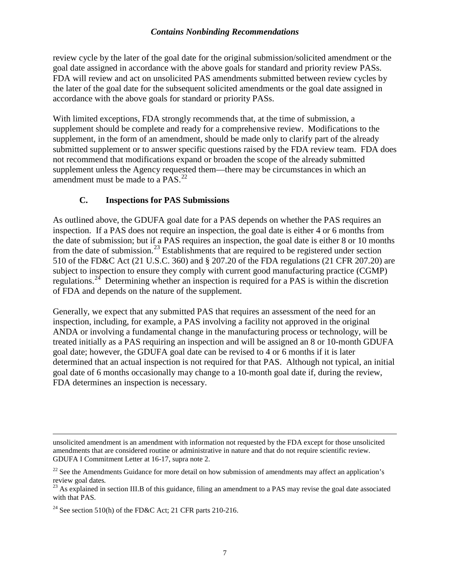review cycle by the later of the goal date for the original submission/solicited amendment or the goal date assigned in accordance with the above goals for standard and priority review PASs. FDA will review and act on unsolicited PAS amendments submitted between review cycles by the later of the goal date for the subsequent solicited amendments or the goal date assigned in accordance with the above goals for standard or priority PASs.

With limited exceptions, FDA strongly recommends that, at the time of submission, a supplement should be complete and ready for a comprehensive review. Modifications to the supplement, in the form of an amendment, should be made only to clarify part of the already submitted supplement or to answer specific questions raised by the FDA review team. FDA does not recommend that modifications expand or broaden the scope of the already submitted supplement unless the Agency requested them—there may be circumstances in which an amendment must be made to a PAS.<sup>[22](#page-9-0)</sup>

# **C. Inspections for PAS Submissions**

As outlined above, the GDUFA goal date for a PAS depends on whether the PAS requires an inspection. If a PAS does not require an inspection, the goal date is either 4 or 6 months from the date of submission; but if a PAS requires an inspection, the goal date is either 8 or 10 months from the date of submission.<sup>[23](#page-9-1)</sup> Establishments that are required to be registered under section 510 of the FD&C Act (21 U.S.C. 360) and § 207.20 of the FDA regulations (21 CFR 207.20) are subject to inspection to ensure they comply with current good manufacturing practice (CGMP) regulations.<sup>[24](#page-9-2)</sup> Determining whether an inspection is required for a PAS is within the discretion of FDA and depends on the nature of the supplement.

Generally, we expect that any submitted PAS that requires an assessment of the need for an inspection, including, for example, a PAS involving a facility not approved in the original ANDA or involving a fundamental change in the manufacturing process or technology, will be treated initially as a PAS requiring an inspection and will be assigned an 8 or 10-month GDUFA goal date; however, the GDUFA goal date can be revised to 4 or 6 months if it is later determined that an actual inspection is not required for that PAS. Although not typical, an initial goal date of 6 months occasionally may change to a 10-month goal date if, during the review, FDA determines an inspection is necessary.

 $\overline{a}$ unsolicited amendment is an amendment with information not requested by the FDA except for those unsolicited amendments that are considered routine or administrative in nature and that do not require scientific review. GDUFA I Commitment Letter at 16-17, supra note 2.

<span id="page-9-0"></span> $22$  See the Amendments Guidance for more detail on how submission of amendments may affect an application's review goal dates.

<span id="page-9-1"></span><sup>&</sup>lt;sup>23</sup> As explained in section III.B of this guidance, filing an amendment to a PAS may revise the goal date associated with that PAS.

<span id="page-9-2"></span><sup>&</sup>lt;sup>24</sup> See section 510(h) of the FD&C Act; 21 CFR parts 210-216.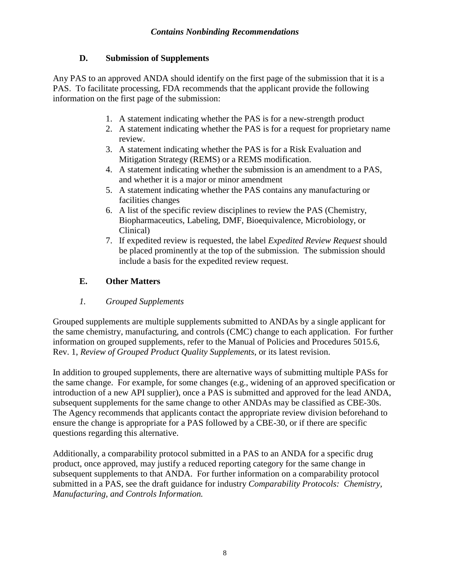# **D. Submission of Supplements**

Any PAS to an approved ANDA should identify on the first page of the submission that it is a PAS. To facilitate processing, FDA recommends that the applicant provide the following information on the first page of the submission:

- 1. A statement indicating whether the PAS is for a new-strength product
- 2. A statement indicating whether the PAS is for a request for proprietary name review.
- 3. A statement indicating whether the PAS is for a Risk Evaluation and Mitigation Strategy (REMS) or a REMS modification.
- 4. A statement indicating whether the submission is an amendment to a PAS, and whether it is a major or minor amendment
- 5. A statement indicating whether the PAS contains any manufacturing or facilities changes
- 6. A list of the specific review disciplines to review the PAS (Chemistry, Biopharmaceutics, Labeling, DMF, Bioequivalence, Microbiology, or Clinical)
- 7. If expedited review is requested, the label *Expedited Review Request* should be placed prominently at the top of the submission. The submission should include a basis for the expedited review request.

# **E. Other Matters**

*1. Grouped Supplements*

Grouped supplements are multiple supplements submitted to ANDAs by a single applicant for the same chemistry, manufacturing, and controls (CMC) change to each application. For further information on grouped supplements, refer to the Manual of Policies and Procedures 5015.6, Rev. 1, *Review of Grouped Product Quality Supplements*, or its latest revision.

In addition to grouped supplements, there are alternative ways of submitting multiple PASs for the same change. For example, for some changes (e.g., widening of an approved specification or introduction of a new API supplier), once a PAS is submitted and approved for the lead ANDA, subsequent supplements for the same change to other ANDAs may be classified as CBE-30s. The Agency recommends that applicants contact the appropriate review division beforehand to ensure the change is appropriate for a PAS followed by a CBE-30, or if there are specific questions regarding this alternative.

Additionally, a comparability protocol submitted in a PAS to an ANDA for a specific drug product, once approved, may justify a reduced reporting category for the same change in subsequent supplements to that ANDA. For further information on a comparability protocol submitted in a PAS, see the draft guidance for industry *Comparability Protocols: Chemistry, Manufacturing, and Controls Information.*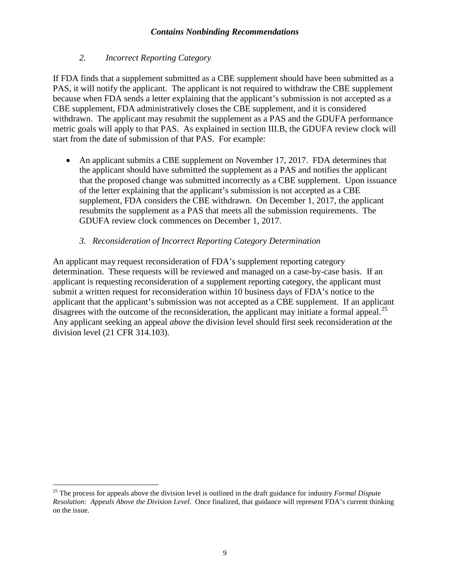#### *2. Incorrect Reporting Category*

If FDA finds that a supplement submitted as a CBE supplement should have been submitted as a PAS, it will notify the applicant. The applicant is not required to withdraw the CBE supplement because when FDA sends a letter explaining that the applicant's submission is not accepted as a CBE supplement, FDA administratively closes the CBE supplement, and it is considered withdrawn. The applicant may resubmit the supplement as a PAS and the GDUFA performance metric goals will apply to that PAS. As explained in section III.B, the GDUFA review clock will start from the date of submission of that PAS. For example:

• An applicant submits a CBE supplement on November 17, 2017. FDA determines that the applicant should have submitted the supplement as a PAS and notifies the applicant that the proposed change was submitted incorrectly as a CBE supplement. Upon issuance of the letter explaining that the applicant's submission is not accepted as a CBE supplement, FDA considers the CBE withdrawn. On December 1, 2017, the applicant resubmits the supplement as a PAS that meets all the submission requirements. The GDUFA review clock commences on December 1, 2017.

#### *3. Reconsideration of Incorrect Reporting Category Determination*

An applicant may request reconsideration of FDA's supplement reporting category determination. These requests will be reviewed and managed on a case-by-case basis. If an applicant is requesting reconsideration of a supplement reporting category, the applicant must submit a written request for reconsideration within 10 business days of FDA's notice to the applicant that the applicant's submission was not accepted as a CBE supplement. If an applicant disagrees with the outcome of the reconsideration, the applicant may initiate a formal appeal.<sup>25</sup> Any applicant seeking an appeal *above* the division level should first seek reconsideration *at* the division level (21 CFR 314.103).

<span id="page-11-0"></span> <sup>25</sup> The process for appeals above the division level is outlined in the draft guidance for industry *Formal Dispute Resolution: Appeals Above the Division Level*. Once finalized, that guidance will represent FDA's current thinking on the issue.